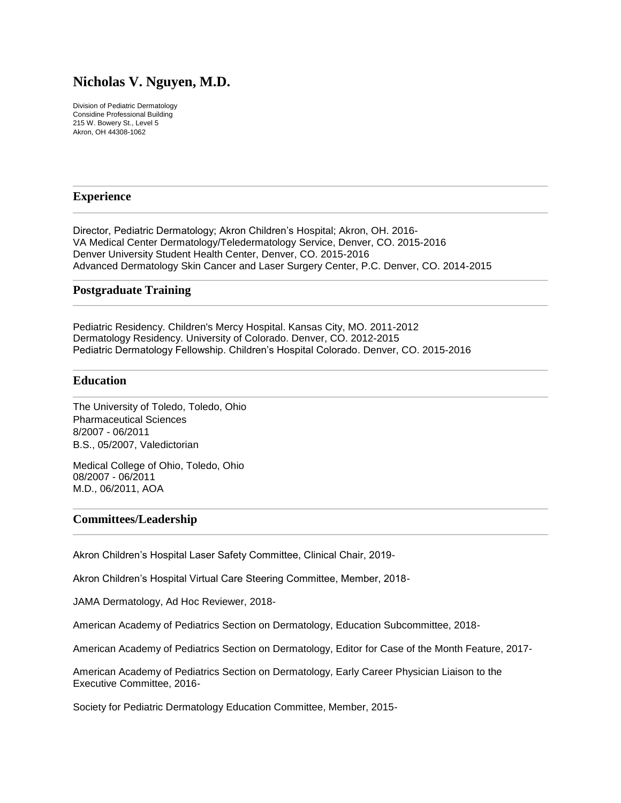# **Nicholas V. Nguyen, M.D.**

Division of Pediatric Dermatology Considine Professional Building 215 W. Bowery St., Level 5 Akron, OH 44308-1062

# **Experience**

Director, Pediatric Dermatology; Akron Children's Hospital; Akron, OH. 2016- VA Medical Center Dermatology/Teledermatology Service, Denver, CO. 2015-2016 Denver University Student Health Center, Denver, CO. 2015-2016 Advanced Dermatology Skin Cancer and Laser Surgery Center, P.C. Denver, CO. 2014-2015

# **Postgraduate Training**

Pediatric Residency. Children's Mercy Hospital. Kansas City, MO. 2011-2012 Dermatology Residency. University of Colorado. Denver, CO. 2012-2015 Pediatric Dermatology Fellowship. Children's Hospital Colorado. Denver, CO. 2015-2016

# **Education**

The University of Toledo, Toledo, Ohio Pharmaceutical Sciences 8/2007 - 06/2011 B.S., 05/2007, Valedictorian

Medical College of Ohio, Toledo, Ohio 08/2007 - 06/2011 M.D., 06/2011, AOA

# **Committees/Leadership**

Akron Children's Hospital Laser Safety Committee, Clinical Chair, 2019-

Akron Children's Hospital Virtual Care Steering Committee, Member, 2018-

JAMA Dermatology, Ad Hoc Reviewer, 2018-

American Academy of Pediatrics Section on Dermatology, Education Subcommittee, 2018-

American Academy of Pediatrics Section on Dermatology, Editor for Case of the Month Feature, 2017-

American Academy of Pediatrics Section on Dermatology, Early Career Physician Liaison to the Executive Committee, 2016-

Society for Pediatric Dermatology Education Committee, Member, 2015-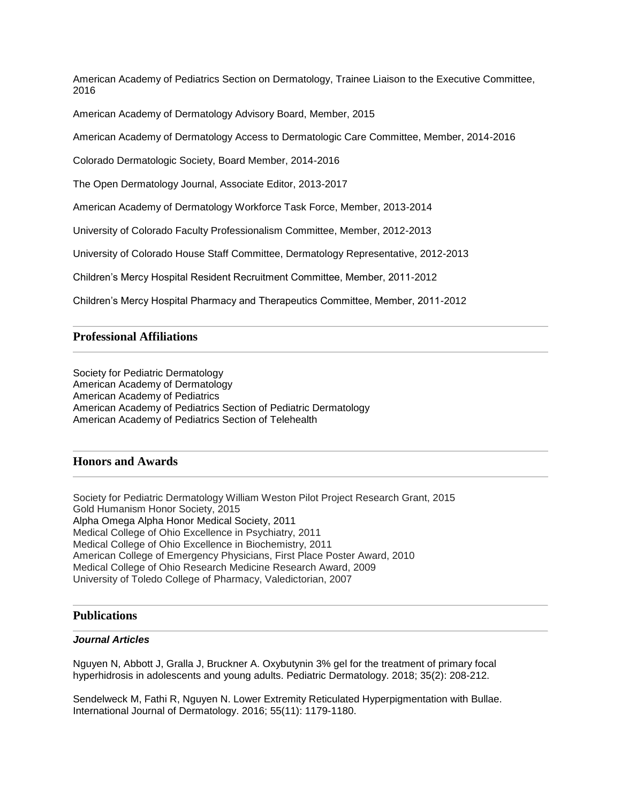American Academy of Pediatrics Section on Dermatology, Trainee Liaison to the Executive Committee, 2016

American Academy of Dermatology Advisory Board, Member, 2015

American Academy of Dermatology Access to Dermatologic Care Committee, Member, 2014-2016

Colorado Dermatologic Society, Board Member, 2014-2016

The Open Dermatology Journal, Associate Editor, 2013-2017

American Academy of Dermatology Workforce Task Force, Member, 2013-2014

University of Colorado Faculty Professionalism Committee, Member, 2012-2013

University of Colorado House Staff Committee, Dermatology Representative, 2012-2013

Children's Mercy Hospital Resident Recruitment Committee, Member, 2011-2012

Children's Mercy Hospital Pharmacy and Therapeutics Committee, Member, 2011-2012

# **Professional Affiliations**

Society for Pediatric Dermatology American Academy of Dermatology American Academy of Pediatrics American Academy of Pediatrics Section of Pediatric Dermatology American Academy of Pediatrics Section of Telehealth

### **Honors and Awards**

Society for Pediatric Dermatology William Weston Pilot Project Research Grant, 2015 Gold Humanism Honor Society, 2015 Alpha Omega Alpha Honor Medical Society, 2011 Medical College of Ohio Excellence in Psychiatry, 2011 Medical College of Ohio Excellence in Biochemistry, 2011 American College of Emergency Physicians, First Place Poster Award, 2010 Medical College of Ohio Research Medicine Research Award, 2009 University of Toledo College of Pharmacy, Valedictorian, 2007

### **Publications**

#### *Journal Articles*

Nguyen N, Abbott J, Gralla J, Bruckner A. Oxybutynin 3% gel for the treatment of primary focal hyperhidrosis in adolescents and young adults. Pediatric Dermatology. 2018; 35(2): 208-212.

Sendelweck M, Fathi R, Nguyen N. Lower Extremity Reticulated Hyperpigmentation with Bullae. International Journal of Dermatology. 2016; 55(11): 1179-1180.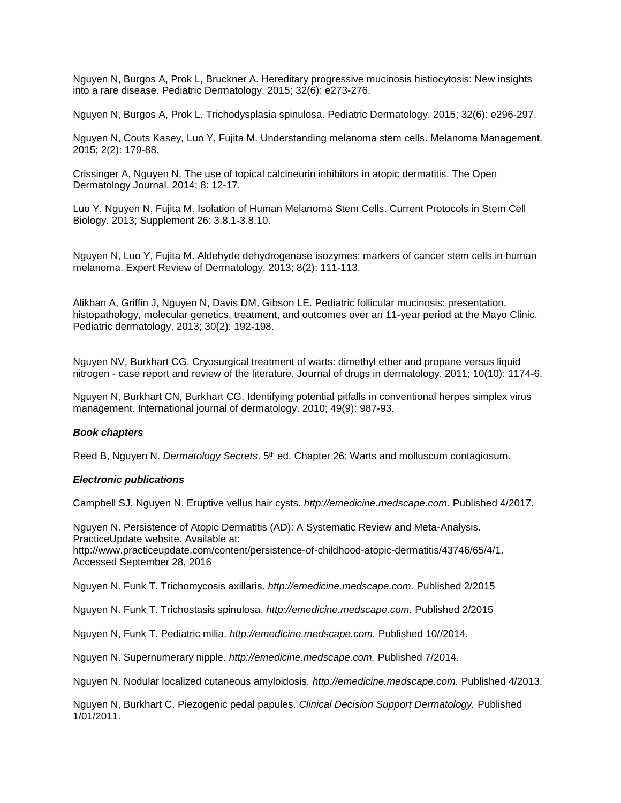Nguyen N, Burgos A, Prok L, Bruckner A. Hereditary progressive mucinosis histiocytosis: New insights into a rare disease. Pediatric Dermatology. 2015; 32(6): e273-276.

Nguyen N, Burgos A, Prok L. Trichodysplasia spinulosa. Pediatric Dermatology. 2015; 32(6): e296-297.

Nguyen N, Couts Kasey, Luo Y, Fujita M. Understanding melanoma stem cells. Melanoma Management. 2015; 2(2): 179-88.

Crissinger A, Nguyen N. The use of topical calcineurin inhibitors in atopic dermatitis. The Open Dermatology Journal. 2014; 8: 12-17.

Luo Y, Nguyen N, Fujita M. Isolation of Human Melanoma Stem Cells. Current Protocols in Stem Cell Biology. 2013; Supplement 26: 3.8.1-3.8.10.

Nguyen N, Luo Y, Fujita M. Aldehyde dehydrogenase isozymes: markers of cancer stem cells in human melanoma. Expert Review of Dermatology. 2013; 8(2): 111-113.

Alikhan A, Griffin J, Nguyen N, Davis DM, Gibson LE. Pediatric follicular mucinosis: presentation, histopathology, molecular genetics, treatment, and outcomes over an 11-year period at the Mayo Clinic. Pediatric dermatology. 2013; 30(2): 192-198.

Nguyen NV, Burkhart CG. Cryosurgical treatment of warts: dimethyl ether and propane versus liquid nitrogen - case report and review of the literature. Journal of drugs in dermatology. 2011; 10(10): 1174-6.

Nguyen N, Burkhart CN, Burkhart CG. Identifying potential pitfalls in conventional herpes simplex virus management. International journal of dermatology. 2010; 49(9): 987-93.

### *Book chapters*

Reed B, Nguyen N. *Dermatology Secrets*. 5 th ed. Chapter 26: Warts and molluscum contagiosum.

#### *Electronic publications*

Campbell SJ, Nguyen N. Eruptive vellus hair cysts. *http://emedicine.medscape.com.* Published 4/2017.

Nguyen N. Persistence of Atopic Dermatitis (AD): A Systematic Review and Meta-Analysis. PracticeUpdate website. Available at: [http://www.practiceupdate.com/content/persistence-of-childhood-atopic-dermatitis/43746/65/4/1.](http://www.practiceupdate.com/content/persistence-of-childhood-atopic-dermatitis/43746/65/4/1) Accessed September 28, 2016

Nguyen N. Funk T. Trichomycosis axillaris. *[http://emedicine.medscape.com.](http://emedicine.medscape.com/)* Published 2/2015

Nguyen N. Funk T. Trichostasis spinulosa. *[http://emedicine.medscape.com.](http://emedicine.medscape.com/)* Published 2/2015

Nguyen N, Funk T. Pediatric milia. *[http://emedicine.medscape.com.](http://emedicine.medscape.com/)* Published 10//2014.

Nguyen N. Supernumerary nipple. *http://emedicine.medscape.com.* Published 7/2014.

Nguyen N. Nodular localized cutaneous amyloidosis. *http://emedicine.medscape.com.* Published 4/2013.

Nguyen N, Burkhart C. Piezogenic pedal papules. *Clinical Decision Support Dermatology.* Published 1/01/2011.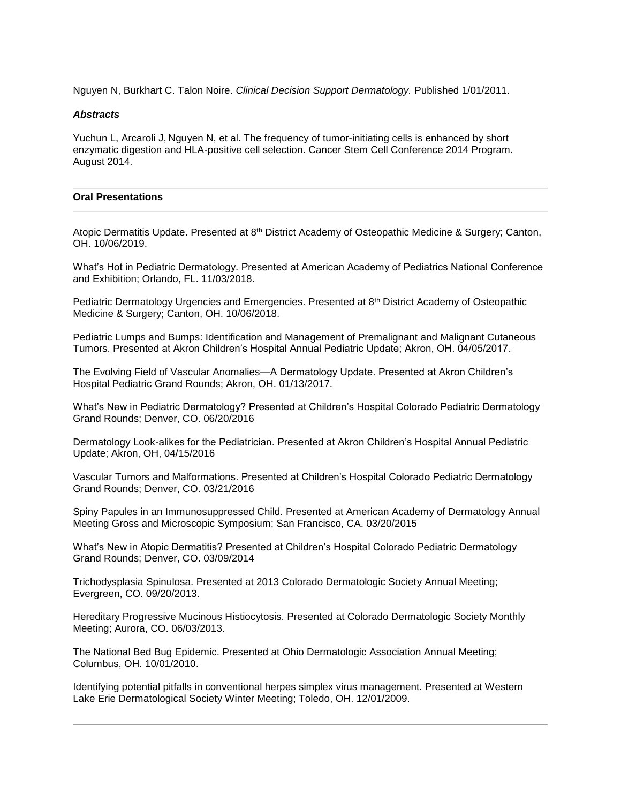Nguyen N, Burkhart C. Talon Noire. *Clinical Decision Support Dermatology.* Published 1/01/2011.

#### *Abstracts*

Yuchun L, Arcaroli J, Nguyen N, et al. The frequency of tumor-initiating cells is enhanced by short enzymatic digestion and HLA-positive cell selection. Cancer Stem Cell Conference 2014 Program. August 2014.

#### **Oral Presentations**

Atopic Dermatitis Update. Presented at 8th District Academy of Osteopathic Medicine & Surgery; Canton, OH. 10/06/2019.

What's Hot in Pediatric Dermatology. Presented at American Academy of Pediatrics National Conference and Exhibition; Orlando, FL. 11/03/2018.

Pediatric Dermatology Urgencies and Emergencies. Presented at 8<sup>th</sup> District Academy of Osteopathic Medicine & Surgery; Canton, OH. 10/06/2018.

Pediatric Lumps and Bumps: Identification and Management of Premalignant and Malignant Cutaneous Tumors. Presented at Akron Children's Hospital Annual Pediatric Update; Akron, OH. 04/05/2017.

The Evolving Field of Vascular Anomalies—A Dermatology Update. Presented at Akron Children's Hospital Pediatric Grand Rounds; Akron, OH. 01/13/2017.

What's New in Pediatric Dermatology? Presented at Children's Hospital Colorado Pediatric Dermatology Grand Rounds; Denver, CO. 06/20/2016

Dermatology Look-alikes for the Pediatrician. Presented at Akron Children's Hospital Annual Pediatric Update; Akron, OH, 04/15/2016

Vascular Tumors and Malformations. Presented at Children's Hospital Colorado Pediatric Dermatology Grand Rounds; Denver, CO. 03/21/2016

Spiny Papules in an Immunosuppressed Child. Presented at American Academy of Dermatology Annual Meeting Gross and Microscopic Symposium; San Francisco, CA. 03/20/2015

What's New in Atopic Dermatitis? Presented at Children's Hospital Colorado Pediatric Dermatology Grand Rounds; Denver, CO. 03/09/2014

Trichodysplasia Spinulosa. Presented at 2013 Colorado Dermatologic Society Annual Meeting; Evergreen, CO. 09/20/2013.

Hereditary Progressive Mucinous Histiocytosis. Presented at Colorado Dermatologic Society Monthly Meeting; Aurora, CO. 06/03/2013.

The National Bed Bug Epidemic. Presented at Ohio Dermatologic Association Annual Meeting; Columbus, OH. 10/01/2010.

Identifying potential pitfalls in conventional herpes simplex virus management. Presented at Western Lake Erie Dermatological Society Winter Meeting; Toledo, OH. 12/01/2009.